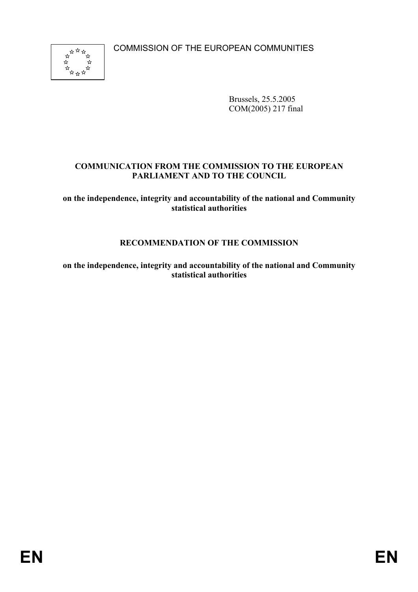COMMISSION OF THE EUROPEAN COMMUNITIES



Brussels, 25.5.2005 COM(2005) 217 final

## **COMMUNICATION FROM THE COMMISSION TO THE EUROPEAN PARLIAMENT AND TO THE COUNCIL**

**on the independence, integrity and accountability of the national and Community statistical authorities** 

# **RECOMMENDATION OF THE COMMISSION**

**on the independence, integrity and accountability of the national and Community statistical authorities**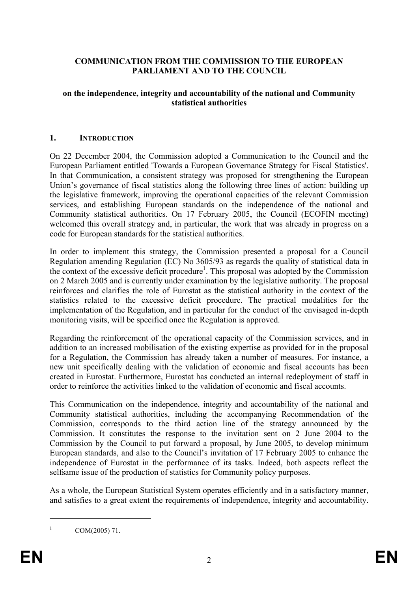## **COMMUNICATION FROM THE COMMISSION TO THE EUROPEAN PARLIAMENT AND TO THE COUNCIL**

### **on the independence, integrity and accountability of the national and Community statistical authorities**

### **1. INTRODUCTION**

On 22 December 2004, the Commission adopted a Communication to the Council and the European Parliament entitled 'Towards a European Governance Strategy for Fiscal Statistics'. In that Communication, a consistent strategy was proposed for strengthening the European Union's governance of fiscal statistics along the following three lines of action: building up the legislative framework, improving the operational capacities of the relevant Commission services, and establishing European standards on the independence of the national and Community statistical authorities. On 17 February 2005, the Council (ECOFIN meeting) welcomed this overall strategy and, in particular, the work that was already in progress on a code for European standards for the statistical authorities.

In order to implement this strategy, the Commission presented a proposal for a Council Regulation amending Regulation (EC) No 3605/93 as regards the quality of statistical data in the context of the excessive deficit procedure<sup>1</sup>. This proposal was adopted by the Commission on 2 March 2005 and is currently under examination by the legislative authority. The proposal reinforces and clarifies the role of Eurostat as the statistical authority in the context of the statistics related to the excessive deficit procedure. The practical modalities for the implementation of the Regulation, and in particular for the conduct of the envisaged in-depth monitoring visits, will be specified once the Regulation is approved.

Regarding the reinforcement of the operational capacity of the Commission services, and in addition to an increased mobilisation of the existing expertise as provided for in the proposal for a Regulation, the Commission has already taken a number of measures. For instance, a new unit specifically dealing with the validation of economic and fiscal accounts has been created in Eurostat. Furthermore, Eurostat has conducted an internal redeployment of staff in order to reinforce the activities linked to the validation of economic and fiscal accounts.

This Communication on the independence, integrity and accountability of the national and Community statistical authorities, including the accompanying Recommendation of the Commission, corresponds to the third action line of the strategy announced by the Commission. It constitutes the response to the invitation sent on 2 June 2004 to the Commission by the Council to put forward a proposal, by June 2005, to develop minimum European standards, and also to the Council's invitation of 17 February 2005 to enhance the independence of Eurostat in the performance of its tasks. Indeed, both aspects reflect the selfsame issue of the production of statistics for Community policy purposes.

As a whole, the European Statistical System operates efficiently and in a satisfactory manner, and satisfies to a great extent the requirements of independence, integrity and accountability.

1 1

COM(2005) 71.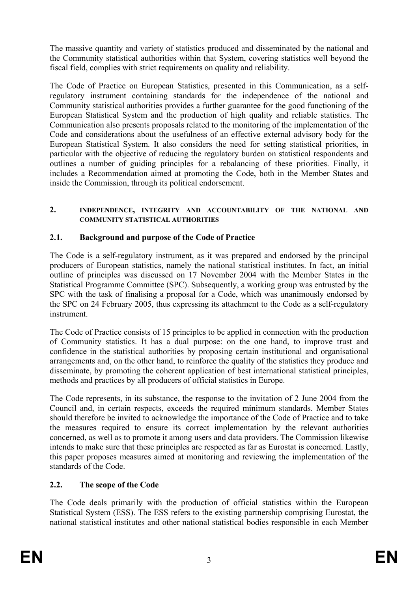The massive quantity and variety of statistics produced and disseminated by the national and the Community statistical authorities within that System, covering statistics well beyond the fiscal field, complies with strict requirements on quality and reliability.

The Code of Practice on European Statistics, presented in this Communication, as a selfregulatory instrument containing standards for the independence of the national and Community statistical authorities provides a further guarantee for the good functioning of the European Statistical System and the production of high quality and reliable statistics. The Communication also presents proposals related to the monitoring of the implementation of the Code and considerations about the usefulness of an effective external advisory body for the European Statistical System. It also considers the need for setting statistical priorities, in particular with the objective of reducing the regulatory burden on statistical respondents and outlines a number of guiding principles for a rebalancing of these priorities. Finally, it includes a Recommendation aimed at promoting the Code, both in the Member States and inside the Commission, through its political endorsement.

### **2. INDEPENDENCE, INTEGRITY AND ACCOUNTABILITY OF THE NATIONAL AND COMMUNITY STATISTICAL AUTHORITIES**

## **2.1. Background and purpose of the Code of Practice**

The Code is a self-regulatory instrument, as it was prepared and endorsed by the principal producers of European statistics, namely the national statistical institutes. In fact, an initial outline of principles was discussed on 17 November 2004 with the Member States in the Statistical Programme Committee (SPC). Subsequently, a working group was entrusted by the SPC with the task of finalising a proposal for a Code, which was unanimously endorsed by the SPC on 24 February 2005, thus expressing its attachment to the Code as a self-regulatory instrument.

The Code of Practice consists of 15 principles to be applied in connection with the production of Community statistics. It has a dual purpose: on the one hand, to improve trust and confidence in the statistical authorities by proposing certain institutional and organisational arrangements and, on the other hand, to reinforce the quality of the statistics they produce and disseminate, by promoting the coherent application of best international statistical principles, methods and practices by all producers of official statistics in Europe.

The Code represents, in its substance, the response to the invitation of 2 June 2004 from the Council and, in certain respects, exceeds the required minimum standards. Member States should therefore be invited to acknowledge the importance of the Code of Practice and to take the measures required to ensure its correct implementation by the relevant authorities concerned, as well as to promote it among users and data providers. The Commission likewise intends to make sure that these principles are respected as far as Eurostat is concerned. Lastly, this paper proposes measures aimed at monitoring and reviewing the implementation of the standards of the Code.

# **2.2. The scope of the Code**

The Code deals primarily with the production of official statistics within the European Statistical System (ESS). The ESS refers to the existing partnership comprising Eurostat, the national statistical institutes and other national statistical bodies responsible in each Member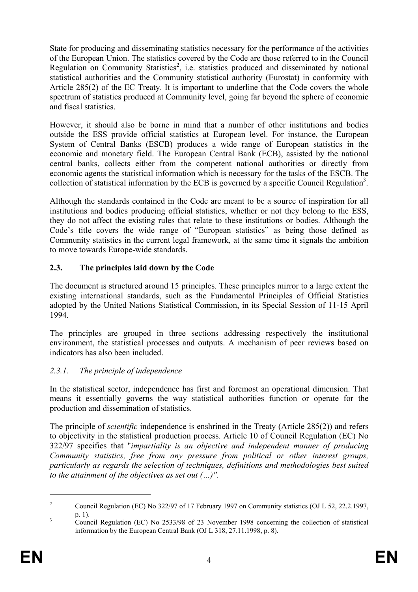State for producing and disseminating statistics necessary for the performance of the activities of the European Union. The statistics covered by the Code are those referred to in the Council Regulation on Community Statistics<sup>2</sup>, i.e. statistics produced and disseminated by national statistical authorities and the Community statistical authority (Eurostat) in conformity with Article 285(2) of the EC Treaty. It is important to underline that the Code covers the whole spectrum of statistics produced at Community level, going far beyond the sphere of economic and fiscal statistics.

However, it should also be borne in mind that a number of other institutions and bodies outside the ESS provide official statistics at European level. For instance, the European System of Central Banks (ESCB) produces a wide range of European statistics in the economic and monetary field. The European Central Bank (ECB), assisted by the national central banks, collects either from the competent national authorities or directly from economic agents the statistical information which is necessary for the tasks of the ESCB. The collection of statistical information by the ECB is governed by a specific Council Regulation<sup>3</sup>.

Although the standards contained in the Code are meant to be a source of inspiration for all institutions and bodies producing official statistics, whether or not they belong to the ESS, they do not affect the existing rules that relate to these institutions or bodies. Although the Code's title covers the wide range of "European statistics" as being those defined as Community statistics in the current legal framework, at the same time it signals the ambition to move towards Europe-wide standards.

# **2.3. The principles laid down by the Code**

The document is structured around 15 principles. These principles mirror to a large extent the existing international standards, such as the Fundamental Principles of Official Statistics adopted by the United Nations Statistical Commission, in its Special Session of 11-15 April 1994.

The principles are grouped in three sections addressing respectively the institutional environment, the statistical processes and outputs. A mechanism of peer reviews based on indicators has also been included.

# *2.3.1. The principle of independence*

In the statistical sector, independence has first and foremost an operational dimension. That means it essentially governs the way statistical authorities function or operate for the production and dissemination of statistics.

The principle of *scientific* independence is enshrined in the Treaty (Article 285(2)) and refers to objectivity in the statistical production process. Article 10 of Council Regulation (EC) No 322/97 specifies that "*impartiality is an objective and independent manner of producing Community statistics, free from any pressure from political or other interest groups, particularly as regards the selection of techniques, definitions and methodologies best suited to the attainment of the objectives as set out (…)".*

1

<sup>2</sup> Council Regulation (EC) No 322/97 of 17 February 1997 on Community statistics (OJ L 52, 22.2.1997, 3  $p. 1$ ).

Council Regulation (EC) No 2533/98 of 23 November 1998 concerning the collection of statistical information by the European Central Bank (OJ L 318, 27.11.1998, p. 8).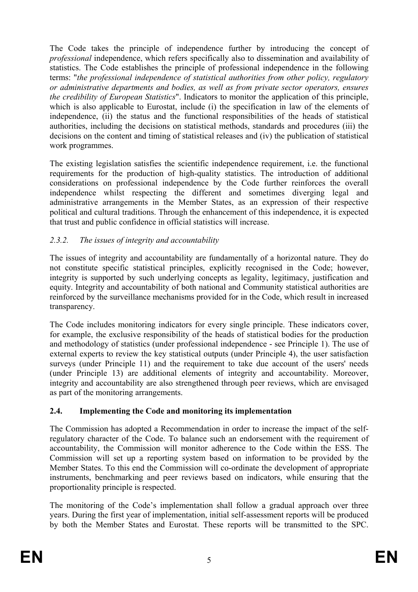The Code takes the principle of independence further by introducing the concept of *professional* independence, which refers specifically also to dissemination and availability of statistics. The Code establishes the principle of professional independence in the following terms: "*the professional independence of statistical authorities from other policy, regulatory or administrative departments and bodies, as well as from private sector operators, ensures the credibility of European Statistics*". Indicators to monitor the application of this principle, which is also applicable to Eurostat, include (i) the specification in law of the elements of independence, (ii) the status and the functional responsibilities of the heads of statistical authorities, including the decisions on statistical methods, standards and procedures (iii) the decisions on the content and timing of statistical releases and (iv) the publication of statistical work programmes.

The existing legislation satisfies the scientific independence requirement, i.e. the functional requirements for the production of high-quality statistics. The introduction of additional considerations on professional independence by the Code further reinforces the overall independence whilst respecting the different and sometimes diverging legal and administrative arrangements in the Member States, as an expression of their respective political and cultural traditions. Through the enhancement of this independence, it is expected that trust and public confidence in official statistics will increase.

## *2.3.2. The issues of integrity and accountability*

The issues of integrity and accountability are fundamentally of a horizontal nature. They do not constitute specific statistical principles, explicitly recognised in the Code; however, integrity is supported by such underlying concepts as legality, legitimacy, justification and equity. Integrity and accountability of both national and Community statistical authorities are reinforced by the surveillance mechanisms provided for in the Code, which result in increased transparency.

The Code includes monitoring indicators for every single principle. These indicators cover, for example, the exclusive responsibility of the heads of statistical bodies for the production and methodology of statistics (under professional independence - see Principle 1). The use of external experts to review the key statistical outputs (under Principle 4), the user satisfaction surveys (under Principle 11) and the requirement to take due account of the users' needs (under Principle 13) are additional elements of integrity and accountability. Moreover, integrity and accountability are also strengthened through peer reviews, which are envisaged as part of the monitoring arrangements.

# **2.4. Implementing the Code and monitoring its implementation**

The Commission has adopted a Recommendation in order to increase the impact of the selfregulatory character of the Code. To balance such an endorsement with the requirement of accountability, the Commission will monitor adherence to the Code within the ESS. The Commission will set up a reporting system based on information to be provided by the Member States. To this end the Commission will co-ordinate the development of appropriate instruments, benchmarking and peer reviews based on indicators, while ensuring that the proportionality principle is respected.

The monitoring of the Code's implementation shall follow a gradual approach over three years. During the first year of implementation, initial self-assessment reports will be produced by both the Member States and Eurostat. These reports will be transmitted to the SPC.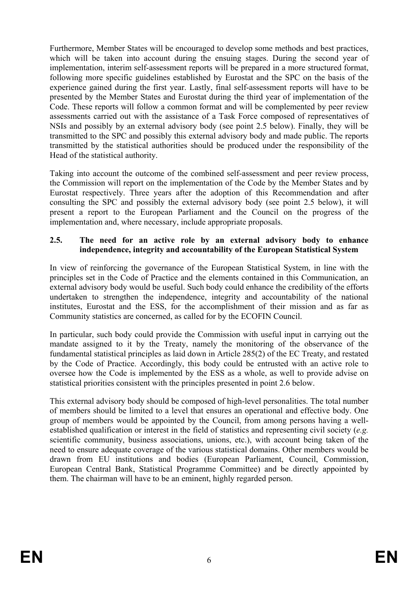Furthermore, Member States will be encouraged to develop some methods and best practices, which will be taken into account during the ensuing stages. During the second year of implementation, interim self-assessment reports will be prepared in a more structured format, following more specific guidelines established by Eurostat and the SPC on the basis of the experience gained during the first year. Lastly, final self-assessment reports will have to be presented by the Member States and Eurostat during the third year of implementation of the Code. These reports will follow a common format and will be complemented by peer review assessments carried out with the assistance of a Task Force composed of representatives of NSIs and possibly by an external advisory body (see point 2.5 below). Finally, they will be transmitted to the SPC and possibly this external advisory body and made public. The reports transmitted by the statistical authorities should be produced under the responsibility of the Head of the statistical authority.

Taking into account the outcome of the combined self-assessment and peer review process, the Commission will report on the implementation of the Code by the Member States and by Eurostat respectively. Three years after the adoption of this Recommendation and after consulting the SPC and possibly the external advisory body (see point 2.5 below), it will present a report to the European Parliament and the Council on the progress of the implementation and, where necessary, include appropriate proposals.

### **2.5. The need for an active role by an external advisory body to enhance independence, integrity and accountability of the European Statistical System**

In view of reinforcing the governance of the European Statistical System, in line with the principles set in the Code of Practice and the elements contained in this Communication, an external advisory body would be useful. Such body could enhance the credibility of the efforts undertaken to strengthen the independence, integrity and accountability of the national institutes, Eurostat and the ESS, for the accomplishment of their mission and as far as Community statistics are concerned, as called for by the ECOFIN Council.

In particular, such body could provide the Commission with useful input in carrying out the mandate assigned to it by the Treaty, namely the monitoring of the observance of the fundamental statistical principles as laid down in Article 285(2) of the EC Treaty, and restated by the Code of Practice. Accordingly, this body could be entrusted with an active role to oversee how the Code is implemented by the ESS as a whole, as well to provide advise on statistical priorities consistent with the principles presented in point 2.6 below.

This external advisory body should be composed of high-level personalities. The total number of members should be limited to a level that ensures an operational and effective body. One group of members would be appointed by the Council, from among persons having a wellestablished qualification or interest in the field of statistics and representing civil society (*e.g.* scientific community, business associations, unions, etc.), with account being taken of the need to ensure adequate coverage of the various statistical domains. Other members would be drawn from EU institutions and bodies (European Parliament, Council, Commission, European Central Bank, Statistical Programme Committee) and be directly appointed by them. The chairman will have to be an eminent, highly regarded person.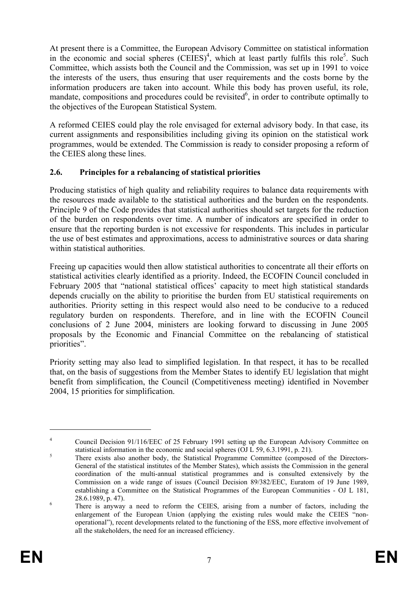At present there is a Committee, the European Advisory Committee on statistical information in the economic and social spheres  $(CEIES)^4$ , which at least partly fulfils this role<sup>5</sup>. Such Committee, which assists both the Council and the Commission, was set up in 1991 to voice the interests of the users, thus ensuring that user requirements and the costs borne by the information producers are taken into account. While this body has proven useful, its role, mandate, compositions and procedures could be revisited<sup>6</sup>, in order to contribute optimally to the objectives of the European Statistical System.

A reformed CEIES could play the role envisaged for external advisory body. In that case, its current assignments and responsibilities including giving its opinion on the statistical work programmes, would be extended. The Commission is ready to consider proposing a reform of the CEIES along these lines.

## **2.6. Principles for a rebalancing of statistical priorities**

Producing statistics of high quality and reliability requires to balance data requirements with the resources made available to the statistical authorities and the burden on the respondents. Principle 9 of the Code provides that statistical authorities should set targets for the reduction of the burden on respondents over time. A number of indicators are specified in order to ensure that the reporting burden is not excessive for respondents. This includes in particular the use of best estimates and approximations, access to administrative sources or data sharing within statistical authorities.

Freeing up capacities would then allow statistical authorities to concentrate all their efforts on statistical activities clearly identified as a priority. Indeed, the ECOFIN Council concluded in February 2005 that "national statistical offices' capacity to meet high statistical standards depends crucially on the ability to prioritise the burden from EU statistical requirements on authorities. Priority setting in this respect would also need to be conducive to a reduced regulatory burden on respondents. Therefore, and in line with the ECOFIN Council conclusions of 2 June 2004, ministers are looking forward to discussing in June 2005 proposals by the Economic and Financial Committee on the rebalancing of statistical priorities".

Priority setting may also lead to simplified legislation. In that respect, it has to be recalled that, on the basis of suggestions from the Member States to identify EU legislation that might benefit from simplification, the Council (Competitiveness meeting) identified in November 2004, 15 priorities for simplification.

<u>.</u>

<sup>4</sup> Council Decision 91/116/EEC of 25 February 1991 setting up the European Advisory Committee on statistical information in the economic and social spheres (OJ  $\angle$  59, 6.3.1991, p. 21).

There exists also another body, the Statistical Programme Committee (composed of the Directors-General of the statistical institutes of the Member States), which assists the Commission in the general coordination of the multi-annual statistical programmes and is consulted extensively by the Commission on a wide range of issues (Council Decision 89/382/EEC, Euratom of 19 June 1989, establishing a Committee on the Statistical Programmes of the European Communities - OJ L 181, 28.6.1989, p. 47).

There is anyway a need to reform the CEIES, arising from a number of factors, including the enlargement of the European Union (applying the existing rules would make the CEIES "nonoperational"), recent developments related to the functioning of the ESS, more effective involvement of all the stakeholders, the need for an increased efficiency.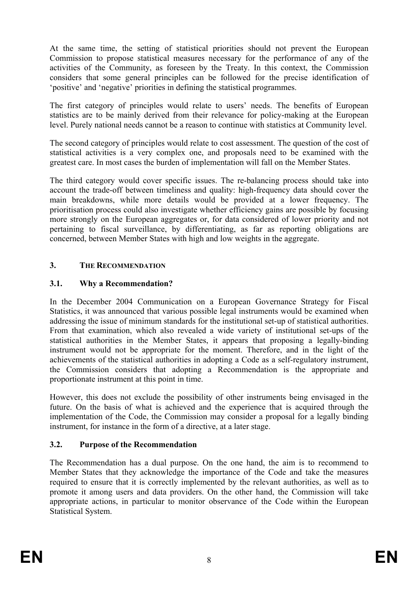At the same time, the setting of statistical priorities should not prevent the European Commission to propose statistical measures necessary for the performance of any of the activities of the Community, as foreseen by the Treaty. In this context, the Commission considers that some general principles can be followed for the precise identification of 'positive' and 'negative' priorities in defining the statistical programmes.

The first category of principles would relate to users' needs. The benefits of European statistics are to be mainly derived from their relevance for policy-making at the European level. Purely national needs cannot be a reason to continue with statistics at Community level.

The second category of principles would relate to cost assessment. The question of the cost of statistical activities is a very complex one, and proposals need to be examined with the greatest care. In most cases the burden of implementation will fall on the Member States.

The third category would cover specific issues. The re-balancing process should take into account the trade-off between timeliness and quality: high-frequency data should cover the main breakdowns, while more details would be provided at a lower frequency. The prioritisation process could also investigate whether efficiency gains are possible by focusing more strongly on the European aggregates or, for data considered of lower priority and not pertaining to fiscal surveillance, by differentiating, as far as reporting obligations are concerned, between Member States with high and low weights in the aggregate.

# **3. THE RECOMMENDATION**

## **3.1. Why a Recommendation?**

In the December 2004 Communication on a European Governance Strategy for Fiscal Statistics, it was announced that various possible legal instruments would be examined when addressing the issue of minimum standards for the institutional set-up of statistical authorities. From that examination, which also revealed a wide variety of institutional set-ups of the statistical authorities in the Member States, it appears that proposing a legally-binding instrument would not be appropriate for the moment. Therefore, and in the light of the achievements of the statistical authorities in adopting a Code as a self-regulatory instrument, the Commission considers that adopting a Recommendation is the appropriate and proportionate instrument at this point in time.

However, this does not exclude the possibility of other instruments being envisaged in the future. On the basis of what is achieved and the experience that is acquired through the implementation of the Code, the Commission may consider a proposal for a legally binding instrument, for instance in the form of a directive, at a later stage.

## **3.2. Purpose of the Recommendation**

The Recommendation has a dual purpose. On the one hand, the aim is to recommend to Member States that they acknowledge the importance of the Code and take the measures required to ensure that it is correctly implemented by the relevant authorities, as well as to promote it among users and data providers. On the other hand, the Commission will take appropriate actions, in particular to monitor observance of the Code within the European Statistical System.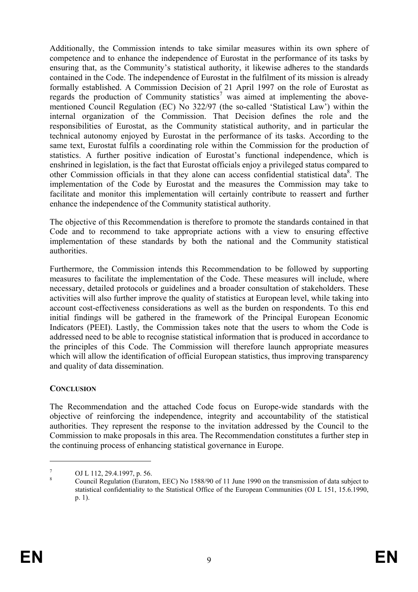Additionally, the Commission intends to take similar measures within its own sphere of competence and to enhance the independence of Eurostat in the performance of its tasks by ensuring that, as the Community's statistical authority, it likewise adheres to the standards contained in the Code. The independence of Eurostat in the fulfilment of its mission is already formally established. A Commission Decision of 21 April 1997 on the role of Eurostat as regards the production of Community statistics<sup>7</sup> was aimed at implementing the abovementioned Council Regulation (EC) No 322/97 (the so-called 'Statistical Law') within the internal organization of the Commission. That Decision defines the role and the responsibilities of Eurostat, as the Community statistical authority, and in particular the technical autonomy enjoyed by Eurostat in the performance of its tasks. According to the same text, Eurostat fulfils a coordinating role within the Commission for the production of statistics. A further positive indication of Eurostat's functional independence, which is enshrined in legislation, is the fact that Eurostat officials enjoy a privileged status compared to other Commission officials in that they alone can access confidential statistical data<sup>8</sup>. The implementation of the Code by Eurostat and the measures the Commission may take to facilitate and monitor this implementation will certainly contribute to reassert and further enhance the independence of the Community statistical authority.

The objective of this Recommendation is therefore to promote the standards contained in that Code and to recommend to take appropriate actions with a view to ensuring effective implementation of these standards by both the national and the Community statistical authorities.

Furthermore, the Commission intends this Recommendation to be followed by supporting measures to facilitate the implementation of the Code. These measures will include, where necessary, detailed protocols or guidelines and a broader consultation of stakeholders. These activities will also further improve the quality of statistics at European level, while taking into account cost-effectiveness considerations as well as the burden on respondents. To this end initial findings will be gathered in the framework of the Principal European Economic Indicators (PEEI). Lastly, the Commission takes note that the users to whom the Code is addressed need to be able to recognise statistical information that is produced in accordance to the principles of this Code. The Commission will therefore launch appropriate measures which will allow the identification of official European statistics, thus improving transparency and quality of data dissemination.

## **CONCLUSION**

<u>.</u>

The Recommendation and the attached Code focus on Europe-wide standards with the objective of reinforcing the independence, integrity and accountability of the statistical authorities. They represent the response to the invitation addressed by the Council to the Commission to make proposals in this area. The Recommendation constitutes a further step in the continuing process of enhancing statistical governance in Europe.

<sup>7</sup> OJ L 112, 29.4.1997, p. 56.

<sup>8</sup> Council Regulation (Euratom, EEC) No 1588/90 of 11 June 1990 on the transmission of data subject to statistical confidentiality to the Statistical Office of the European Communities (OJ L 151, 15.6.1990, p. 1).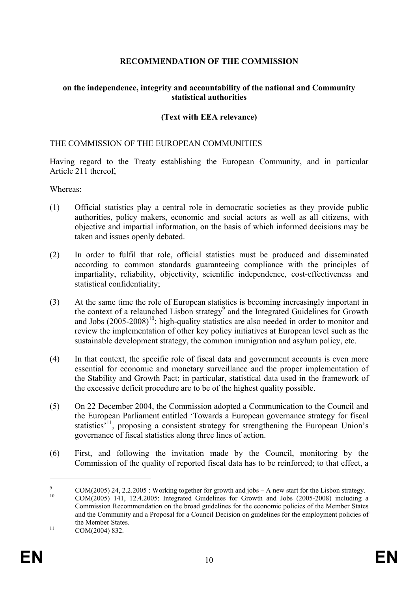## **RECOMMENDATION OF THE COMMISSION**

### **on the independence, integrity and accountability of the national and Community statistical authorities**

### **(Text with EEA relevance)**

### THE COMMISSION OF THE EUROPEAN COMMUNITIES

Having regard to the Treaty establishing the European Community, and in particular Article 211 thereof,

Whereas:

- (1) Official statistics play a central role in democratic societies as they provide public authorities, policy makers, economic and social actors as well as all citizens, with objective and impartial information, on the basis of which informed decisions may be taken and issues openly debated.
- (2) In order to fulfil that role, official statistics must be produced and disseminated according to common standards guaranteeing compliance with the principles of impartiality, reliability, objectivity, scientific independence, cost-effectiveness and statistical confidentiality;
- (3) At the same time the role of European statistics is becoming increasingly important in the context of a relaunched Lisbon strategy<sup>9</sup> and the Integrated Guidelines for Growth and Jobs  $(2005-2008)^{10}$ ; high-quality statistics are also needed in order to monitor and review the implementation of other key policy initiatives at European level such as the sustainable development strategy, the common immigration and asylum policy, etc.
- (4) In that context, the specific role of fiscal data and government accounts is even more essential for economic and monetary surveillance and the proper implementation of the Stability and Growth Pact; in particular, statistical data used in the framework of the excessive deficit procedure are to be of the highest quality possible.
- (5) On 22 December 2004, the Commission adopted a Communication to the Council and the European Parliament entitled 'Towards a European governance strategy for fiscal statistics<sup>'11</sup>, proposing a consistent strategy for strengthening the European Union's governance of fiscal statistics along three lines of action.
- (6) First, and following the invitation made by the Council, monitoring by the Commission of the quality of reported fiscal data has to be reinforced; to that effect, a

<u>.</u>

<sup>9</sup> <sup>9</sup> COM(2005) 24, 2.2.2005 : Working together for growth and jobs – A new start for the Lisbon strategy.<br>
COM(2005) 141, 12.4.2005: Integrated Cuidelines for Crewth and Jobs (2005-2008) including a

<sup>10</sup> COM(2005) 141, 12.4.2005: Integrated Guidelines for Growth and Jobs (2005-2008) including a Commission Recommendation on the broad guidelines for the economic policies of the Member States and the Community and a Proposal for a Council Decision on guidelines for the employment policies of the Member States.<br>
COM(2004) 832.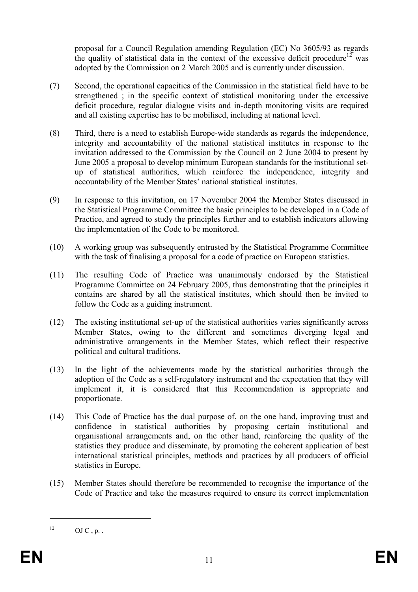proposal for a Council Regulation amending Regulation (EC) No 3605/93 as regards the quality of statistical data in the context of the excessive deficit procedure<sup>12</sup> was adopted by the Commission on 2 March 2005 and is currently under discussion.

- (7) Second, the operational capacities of the Commission in the statistical field have to be strengthened ; in the specific context of statistical monitoring under the excessive deficit procedure, regular dialogue visits and in-depth monitoring visits are required and all existing expertise has to be mobilised, including at national level.
- (8) Third, there is a need to establish Europe-wide standards as regards the independence, integrity and accountability of the national statistical institutes in response to the invitation addressed to the Commission by the Council on 2 June 2004 to present by June 2005 a proposal to develop minimum European standards for the institutional setup of statistical authorities, which reinforce the independence, integrity and accountability of the Member States' national statistical institutes.
- (9) In response to this invitation, on 17 November 2004 the Member States discussed in the Statistical Programme Committee the basic principles to be developed in a Code of Practice, and agreed to study the principles further and to establish indicators allowing the implementation of the Code to be monitored.
- (10) A working group was subsequently entrusted by the Statistical Programme Committee with the task of finalising a proposal for a code of practice on European statistics.
- (11) The resulting Code of Practice was unanimously endorsed by the Statistical Programme Committee on 24 February 2005, thus demonstrating that the principles it contains are shared by all the statistical institutes, which should then be invited to follow the Code as a guiding instrument.
- (12) The existing institutional set-up of the statistical authorities varies significantly across Member States, owing to the different and sometimes diverging legal and administrative arrangements in the Member States, which reflect their respective political and cultural traditions.
- (13) In the light of the achievements made by the statistical authorities through the adoption of the Code as a self-regulatory instrument and the expectation that they will implement it, it is considered that this Recommendation is appropriate and proportionate.
- (14) This Code of Practice has the dual purpose of, on the one hand, improving trust and confidence in statistical authorities by proposing certain institutional and organisational arrangements and, on the other hand, reinforcing the quality of the statistics they produce and disseminate, by promoting the coherent application of best international statistical principles, methods and practices by all producers of official statistics in Europe.
- (15) Member States should therefore be recommended to recognise the importance of the Code of Practice and take the measures required to ensure its correct implementation

1

 $^{12}$  OJ C, p.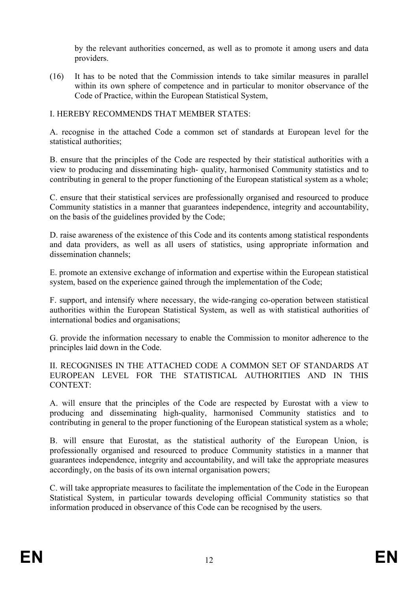by the relevant authorities concerned, as well as to promote it among users and data providers.

(16) It has to be noted that the Commission intends to take similar measures in parallel within its own sphere of competence and in particular to monitor observance of the Code of Practice, within the European Statistical System,

### I. HEREBY RECOMMENDS THAT MEMBER STATES:

A. recognise in the attached Code a common set of standards at European level for the statistical authorities;

B. ensure that the principles of the Code are respected by their statistical authorities with a view to producing and disseminating high- quality, harmonised Community statistics and to contributing in general to the proper functioning of the European statistical system as a whole;

C. ensure that their statistical services are professionally organised and resourced to produce Community statistics in a manner that guarantees independence, integrity and accountability, on the basis of the guidelines provided by the Code;

D. raise awareness of the existence of this Code and its contents among statistical respondents and data providers, as well as all users of statistics, using appropriate information and dissemination channels;

E. promote an extensive exchange of information and expertise within the European statistical system, based on the experience gained through the implementation of the Code;

F. support, and intensify where necessary, the wide-ranging co-operation between statistical authorities within the European Statistical System, as well as with statistical authorities of international bodies and organisations;

G. provide the information necessary to enable the Commission to monitor adherence to the principles laid down in the Code.

II. RECOGNISES IN THE ATTACHED CODE A COMMON SET OF STANDARDS AT EUROPEAN LEVEL FOR THE STATISTICAL AUTHORITIES AND IN THIS CONTEXT:

A. will ensure that the principles of the Code are respected by Eurostat with a view to producing and disseminating high-quality, harmonised Community statistics and to contributing in general to the proper functioning of the European statistical system as a whole;

B. will ensure that Eurostat, as the statistical authority of the European Union, is professionally organised and resourced to produce Community statistics in a manner that guarantees independence, integrity and accountability, and will take the appropriate measures accordingly, on the basis of its own internal organisation powers;

C. will take appropriate measures to facilitate the implementation of the Code in the European Statistical System, in particular towards developing official Community statistics so that information produced in observance of this Code can be recognised by the users.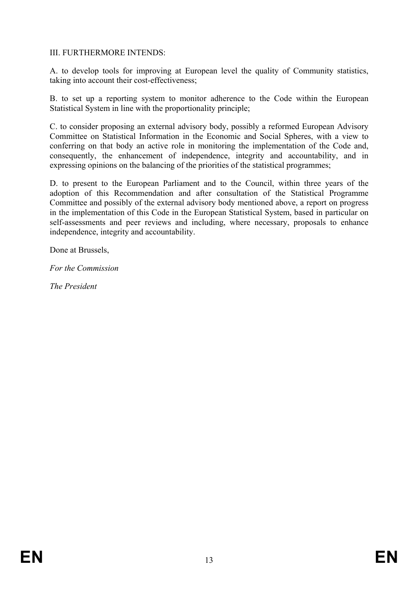## III. FURTHERMORE INTENDS:

A. to develop tools for improving at European level the quality of Community statistics, taking into account their cost-effectiveness;

B. to set up a reporting system to monitor adherence to the Code within the European Statistical System in line with the proportionality principle;

C. to consider proposing an external advisory body, possibly a reformed European Advisory Committee on Statistical Information in the Economic and Social Spheres, with a view to conferring on that body an active role in monitoring the implementation of the Code and, consequently, the enhancement of independence, integrity and accountability, and in expressing opinions on the balancing of the priorities of the statistical programmes;

D. to present to the European Parliament and to the Council, within three years of the adoption of this Recommendation and after consultation of the Statistical Programme Committee and possibly of the external advisory body mentioned above, a report on progress in the implementation of this Code in the European Statistical System, based in particular on self-assessments and peer reviews and including, where necessary, proposals to enhance independence, integrity and accountability.

Done at Brussels,

*For the Commission* 

*The President*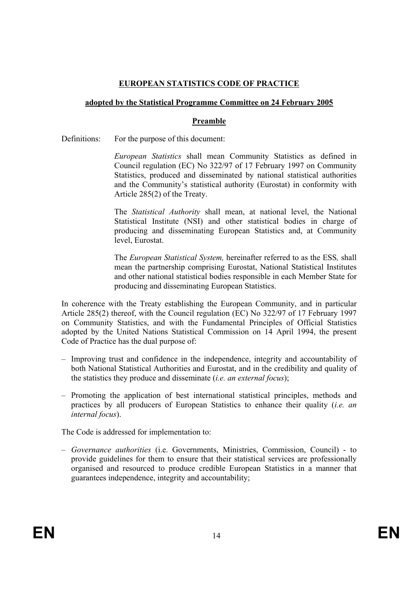## **EUROPEAN STATISTICS CODE OF PRACTICE**

#### **adopted by the Statistical Programme Committee on 24 February 2005**

#### **Preamble**

Definitions: For the purpose of this document:

*European Statistics* shall mean Community Statistics as defined in Council regulation (EC) No 322/97 of 17 February 1997 on Community Statistics, produced and disseminated by national statistical authorities and the Community's statistical authority (Eurostat) in conformity with Article 285(2) of the Treaty.

The *Statistical Authority* shall mean, at national level, the National Statistical Institute (NSI) and other statistical bodies in charge of producing and disseminating European Statistics and, at Community level, Eurostat.

The *European Statistical System,* hereinafter referred to as the ESS*,* shall mean the partnership comprising Eurostat, National Statistical Institutes and other national statistical bodies responsible in each Member State for producing and disseminating European Statistics.

In coherence with the Treaty establishing the European Community, and in particular Article 285(2) thereof, with the Council regulation (EC) No 322/97 of 17 February 1997 on Community Statistics, and with the Fundamental Principles of Official Statistics adopted by the United Nations Statistical Commission on 14 April 1994, the present Code of Practice has the dual purpose of:

- Improving trust and confidence in the independence, integrity and accountability of both National Statistical Authorities and Eurostat, and in the credibility and quality of the statistics they produce and disseminate (*i.e. an external focus*);
- Promoting the application of best international statistical principles, methods and practices by all producers of European Statistics to enhance their quality (*i.e. an internal focus*).

The Code is addressed for implementation to:

– *Governance authorities* (i.e. Governments, Ministries, Commission, Council) - to provide guidelines for them to ensure that their statistical services are professionally organised and resourced to produce credible European Statistics in a manner that guarantees independence, integrity and accountability;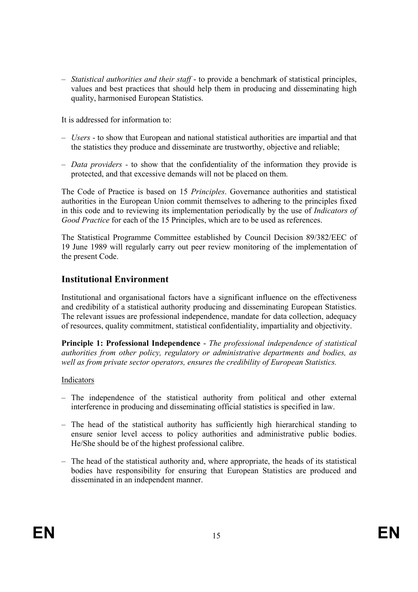– *Statistical authorities and their staff* - to provide a benchmark of statistical principles, values and best practices that should help them in producing and disseminating high quality, harmonised European Statistics.

It is addressed for information to:

- *Users* to show that European and national statistical authorities are impartial and that the statistics they produce and disseminate are trustworthy, objective and reliable;
- *Data providers -* to show that the confidentiality of the information they provide is protected, and that excessive demands will not be placed on them.

The Code of Practice is based on 15 *Principles*. Governance authorities and statistical authorities in the European Union commit themselves to adhering to the principles fixed in this code and to reviewing its implementation periodically by the use of *Indicators of Good Practice* for each of the 15 Principles, which are to be used as references.

The Statistical Programme Committee established by Council Decision 89/382/EEC of 19 June 1989 will regularly carry out peer review monitoring of the implementation of the present Code.

# **Institutional Environment**

Institutional and organisational factors have a significant influence on the effectiveness and credibility of a statistical authority producing and disseminating European Statistics. The relevant issues are professional independence, mandate for data collection, adequacy of resources, quality commitment, statistical confidentiality, impartiality and objectivity.

**Principle 1: Professional Independence** - *The professional independence of statistical authorities from other policy, regulatory or administrative departments and bodies, as well as from private sector operators, ensures the credibility of European Statistics.*

- The independence of the statistical authority from political and other external interference in producing and disseminating official statistics is specified in law.
- The head of the statistical authority has sufficiently high hierarchical standing to ensure senior level access to policy authorities and administrative public bodies. He/She should be of the highest professional calibre.
- The head of the statistical authority and, where appropriate, the heads of its statistical bodies have responsibility for ensuring that European Statistics are produced and disseminated in an independent manner.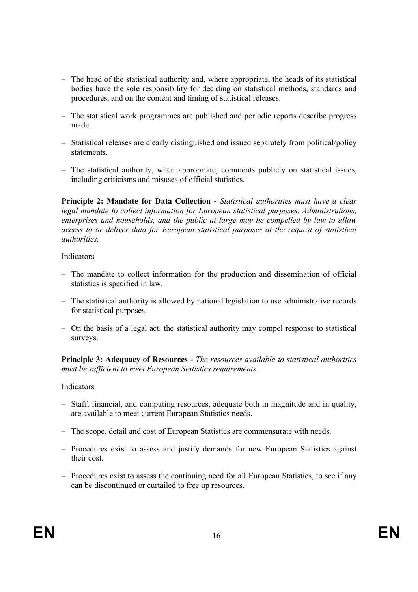- The head of the statistical authority and, where appropriate, the heads of its statistical bodies have the sole responsibility for deciding on statistical methods, standards and procedures, and on the content and timing of statistical releases.
- The statistical work programmes are published and periodic reports describe progress made.
- Statistical releases are clearly distinguished and issued separately from political/policy statements.
- The statistical authority, when appropriate, comments publicly on statistical issues, including criticisms and misuses of official statistics.

**Principle 2: Mandate for Data Collection -** *Statistical authorities must have a clear legal mandate to collect information for European statistical purposes. Administrations, enterprises and households, and the public at large may be compelled by law to allow access to or deliver data for European statistical purposes at the request of statistical authorities.* 

#### Indicators

- The mandate to collect information for the production and dissemination of official statistics is specified in law.
- The statistical authority is allowed by national legislation to use administrative records for statistical purposes.
- On the basis of a legal act, the statistical authority may compel response to statistical surveys.

**Principle 3: Adequacy of Resources -** *The resources available to statistical authorities must be sufficient to meet European Statistics requirements.*

- Staff, financial, and computing resources, adequate both in magnitude and in quality, are available to meet current European Statistics needs.
- The scope, detail and cost of European Statistics are commensurate with needs.
- Procedures exist to assess and justify demands for new European Statistics against their cost.
- Procedures exist to assess the continuing need for all European Statistics, to see if any can be discontinued or curtailed to free up resources.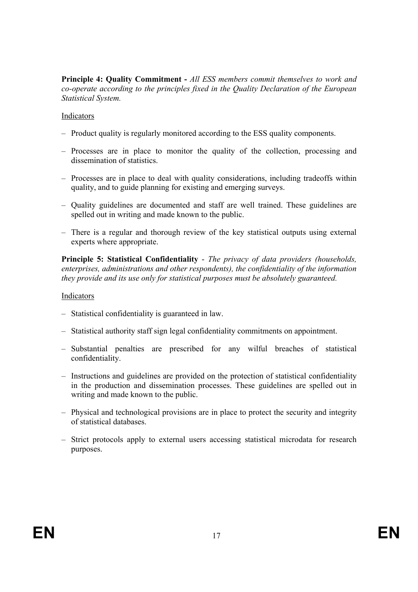**Principle 4: Quality Commitment -** *All ESS members commit themselves to work and co-operate according to the principles fixed in the Quality Declaration of the European Statistical System.* 

### Indicators

- Product quality is regularly monitored according to the ESS quality components.
- Processes are in place to monitor the quality of the collection, processing and dissemination of statistics.
- Processes are in place to deal with quality considerations, including tradeoffs within quality, and to guide planning for existing and emerging surveys.
- Quality guidelines are documented and staff are well trained. These guidelines are spelled out in writing and made known to the public.
- There is a regular and thorough review of the key statistical outputs using external experts where appropriate.

**Principle 5: Statistical Confidentiality** - *The privacy of data providers (households, enterprises, administrations and other respondents), the confidentiality of the information they provide and its use only for statistical purposes must be absolutely guaranteed.*

- Statistical confidentiality is guaranteed in law.
- Statistical authority staff sign legal confidentiality commitments on appointment.
- Substantial penalties are prescribed for any wilful breaches of statistical confidentiality.
- Instructions and guidelines are provided on the protection of statistical confidentiality in the production and dissemination processes. These guidelines are spelled out in writing and made known to the public.
- Physical and technological provisions are in place to protect the security and integrity of statistical databases.
- Strict protocols apply to external users accessing statistical microdata for research purposes.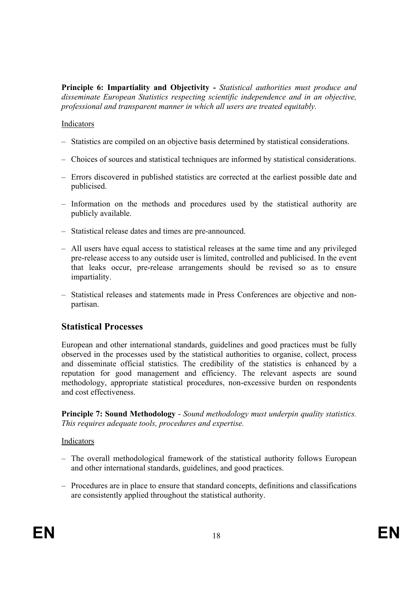**Principle 6: Impartiality and Objectivity -** *Statistical authorities must produce and disseminate European Statistics respecting scientific independence and in an objective, professional and transparent manner in which all users are treated equitably.*

#### Indicators

- Statistics are compiled on an objective basis determined by statistical considerations.
- Choices of sources and statistical techniques are informed by statistical considerations.
- Errors discovered in published statistics are corrected at the earliest possible date and publicised.
- Information on the methods and procedures used by the statistical authority are publicly available.
- Statistical release dates and times are pre-announced.
- All users have equal access to statistical releases at the same time and any privileged pre-release access to any outside user is limited, controlled and publicised. In the event that leaks occur, pre-release arrangements should be revised so as to ensure impartiality.
- Statistical releases and statements made in Press Conferences are objective and nonpartisan.

## **Statistical Processes**

European and other international standards, guidelines and good practices must be fully observed in the processes used by the statistical authorities to organise, collect, process and disseminate official statistics. The credibility of the statistics is enhanced by a reputation for good management and efficiency. The relevant aspects are sound methodology, appropriate statistical procedures, non-excessive burden on respondents and cost effectiveness.

**Principle 7: Sound Methodology** - *Sound methodology must underpin quality statistics. This requires adequate tools, procedures and expertise.*

- The overall methodological framework of the statistical authority follows European and other international standards, guidelines, and good practices.
- Procedures are in place to ensure that standard concepts, definitions and classifications are consistently applied throughout the statistical authority.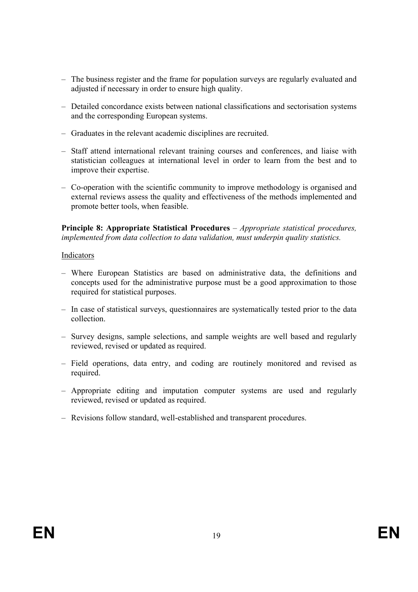- The business register and the frame for population surveys are regularly evaluated and adjusted if necessary in order to ensure high quality.
- Detailed concordance exists between national classifications and sectorisation systems and the corresponding European systems.
- Graduates in the relevant academic disciplines are recruited.
- Staff attend international relevant training courses and conferences, and liaise with statistician colleagues at international level in order to learn from the best and to improve their expertise.
- Co-operation with the scientific community to improve methodology is organised and external reviews assess the quality and effectiveness of the methods implemented and promote better tools, when feasible.

**Principle 8: Appropriate Statistical Procedures** – *Appropriate statistical procedures, implemented from data collection to data validation, must underpin quality statistics.* 

- Where European Statistics are based on administrative data, the definitions and concepts used for the administrative purpose must be a good approximation to those required for statistical purposes.
- In case of statistical surveys, questionnaires are systematically tested prior to the data collection.
- Survey designs, sample selections, and sample weights are well based and regularly reviewed, revised or updated as required.
- Field operations, data entry, and coding are routinely monitored and revised as required.
- Appropriate editing and imputation computer systems are used and regularly reviewed, revised or updated as required.
- Revisions follow standard, well-established and transparent procedures.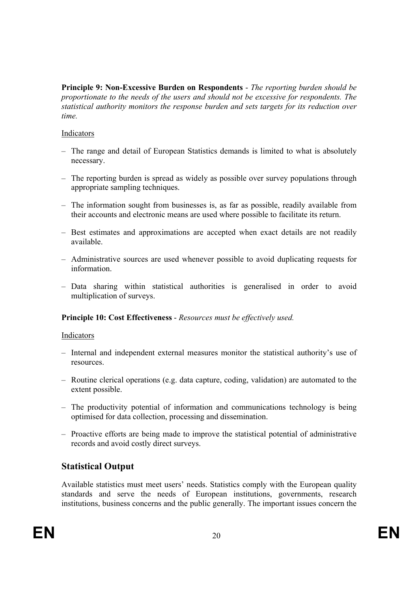**Principle 9: Non-Excessive Burden on Respondents** - *The reporting burden should be proportionate to the needs of the users and should not be excessive for respondents. The statistical authority monitors the response burden and sets targets for its reduction over time.* 

## Indicators

- The range and detail of European Statistics demands is limited to what is absolutely necessary.
- The reporting burden is spread as widely as possible over survey populations through appropriate sampling techniques.
- The information sought from businesses is, as far as possible, readily available from their accounts and electronic means are used where possible to facilitate its return.
- Best estimates and approximations are accepted when exact details are not readily available.
- Administrative sources are used whenever possible to avoid duplicating requests for information.
- Data sharing within statistical authorities is generalised in order to avoid multiplication of surveys.

## **Principle 10: Cost Effectiveness** - *Resources must be effectively used.*

### Indicators

- Internal and independent external measures monitor the statistical authority's use of resources.
- Routine clerical operations (e.g. data capture, coding, validation) are automated to the extent possible.
- The productivity potential of information and communications technology is being optimised for data collection, processing and dissemination.
- Proactive efforts are being made to improve the statistical potential of administrative records and avoid costly direct surveys.

# **Statistical Output**

Available statistics must meet users' needs. Statistics comply with the European quality standards and serve the needs of European institutions, governments, research institutions, business concerns and the public generally. The important issues concern the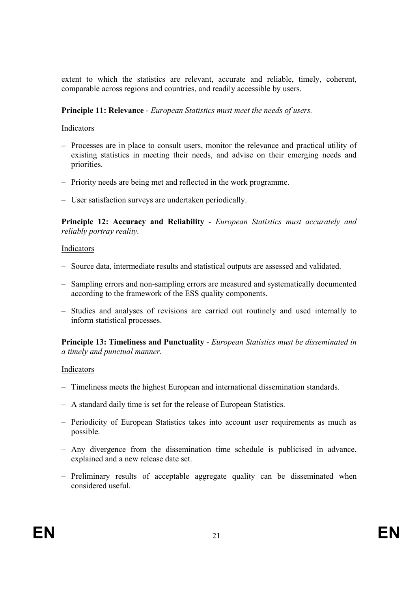extent to which the statistics are relevant, accurate and reliable, timely, coherent, comparable across regions and countries, and readily accessible by users.

### **Principle 11: Relevance** - *European Statistics must meet the needs of users.*

#### Indicators

- Processes are in place to consult users, monitor the relevance and practical utility of existing statistics in meeting their needs, and advise on their emerging needs and priorities.
- Priority needs are being met and reflected in the work programme.
- User satisfaction surveys are undertaken periodically.

**Principle 12: Accuracy and Reliability** - *European Statistics must accurately and reliably portray reality.* 

#### Indicators

- Source data, intermediate results and statistical outputs are assessed and validated.
- Sampling errors and non-sampling errors are measured and systematically documented according to the framework of the ESS quality components.
- Studies and analyses of revisions are carried out routinely and used internally to inform statistical processes.

**Principle 13: Timeliness and Punctuality** - *European Statistics must be disseminated in a timely and punctual manner.*

- Timeliness meets the highest European and international dissemination standards.
- A standard daily time is set for the release of European Statistics.
- Periodicity of European Statistics takes into account user requirements as much as possible.
- Any divergence from the dissemination time schedule is publicised in advance, explained and a new release date set.
- Preliminary results of acceptable aggregate quality can be disseminated when considered useful.